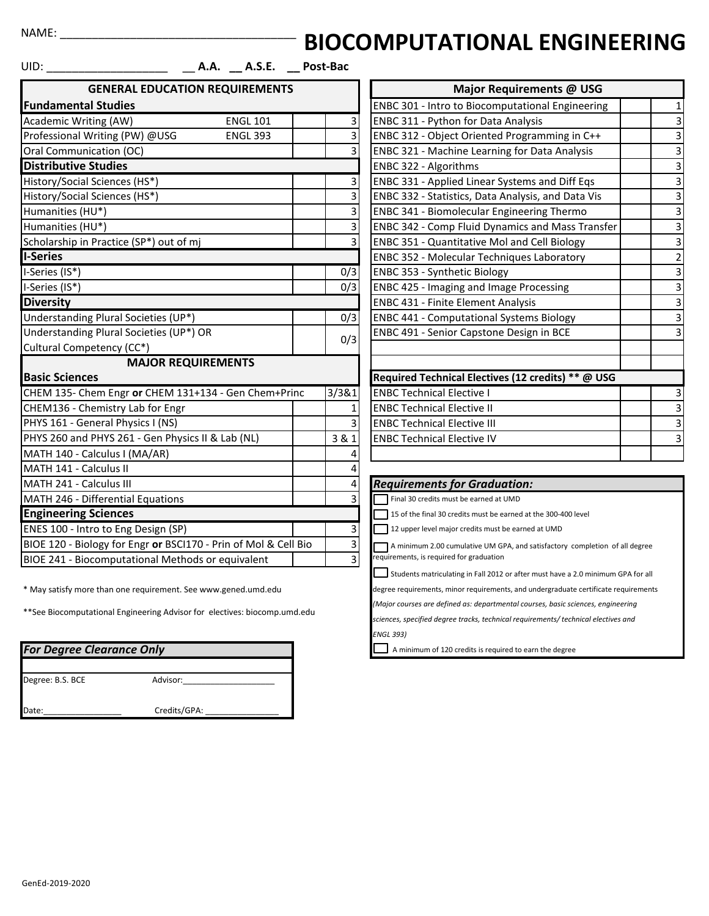## NAME:

## **BIOCOMPUTATIONAL ENGINEERING**

| UID: I                                                               | A.A. __ A.S.E. __ Post-Bac            |                                                                             |                                                    |                                                                |                         |
|----------------------------------------------------------------------|---------------------------------------|-----------------------------------------------------------------------------|----------------------------------------------------|----------------------------------------------------------------|-------------------------|
|                                                                      | <b>GENERAL EDUCATION REQUIREMENTS</b> |                                                                             |                                                    | Major Requirements @ USG                                       |                         |
| <b>Fundamental Studies</b>                                           |                                       |                                                                             |                                                    | <b>ENBC 301 - Intro to Biocomputational Engineering</b>        | 1                       |
| Academic Writing (AW)                                                | <b>ENGL 101</b>                       |                                                                             | 3                                                  | ENBC 311 - Python for Data Analysis                            |                         |
| Professional Writing (PW) @USG                                       | <b>ENGL 393</b>                       |                                                                             | 3                                                  | ENBC 312 - Object Oriented Programming in C++                  | 3                       |
| Oral Communication (OC)                                              |                                       |                                                                             |                                                    | <b>ENBC 321 - Machine Learning for Data Analysis</b>           | 3                       |
| <b>Distributive Studies</b>                                          |                                       |                                                                             |                                                    | ENBC 322 - Algorithms                                          | 3                       |
| History/Social Sciences (HS*)                                        |                                       |                                                                             | 3                                                  | ENBC 331 - Applied Linear Systems and Diff Eqs                 | 3                       |
| History/Social Sciences (HS*)                                        |                                       |                                                                             | 3                                                  | ENBC 332 - Statistics, Data Analysis, and Data Vis             | 3                       |
| Humanities (HU*)                                                     |                                       |                                                                             | 3                                                  | <b>ENBC 341 - Biomolecular Engineering Thermo</b>              | З                       |
| Humanities (HU*)                                                     |                                       |                                                                             | 3                                                  | ENBC 342 - Comp Fluid Dynamics and Mass Transfer               | 3                       |
| Scholarship in Practice (SP*) out of mj                              |                                       |                                                                             | 3                                                  | <b>ENBC 351 - Quantitative Mol and Cell Biology</b>            | 3                       |
| I-Series                                                             |                                       |                                                                             |                                                    | ENBC 352 - Molecular Techniques Laboratory                     | $\overline{\mathbf{c}}$ |
| I-Series (IS*)                                                       |                                       |                                                                             | 0/3                                                | ENBC 353 - Synthetic Biology                                   | 3                       |
| I-Series (IS*)                                                       |                                       |                                                                             | 0/3                                                | ENBC 425 - Imaging and Image Processing                        | 3                       |
| <b>Diversity</b>                                                     |                                       |                                                                             |                                                    | <b>ENBC 431 - Finite Element Analysis</b>                      | 3                       |
| Understanding Plural Societies (UP*)                                 |                                       |                                                                             | 0/3                                                | <b>ENBC 441 - Computational Systems Biology</b>                | 3                       |
| Understanding Plural Societies (UP*) OR                              |                                       |                                                                             | 0/3                                                | ENBC 491 - Senior Capstone Design in BCE                       | 3                       |
| Cultural Competency (CC*)                                            |                                       |                                                                             |                                                    |                                                                |                         |
|                                                                      | <b>MAJOR REQUIREMENTS</b>             |                                                                             |                                                    |                                                                |                         |
| <b>Basic Sciences</b>                                                |                                       |                                                                             |                                                    | Required Technical Electives (12 credits) ** @ USG             |                         |
| CHEM 135- Chem Engr or CHEM 131+134 - Gen Chem+Princ                 |                                       |                                                                             | 3/3&1                                              | <b>ENBC Technical Elective I</b>                               | 3                       |
| CHEM136 - Chemistry Lab for Engr                                     |                                       |                                                                             |                                                    | <b>ENBC Technical Elective II</b>                              | 3                       |
| PHYS 161 - General Physics I (NS)                                    |                                       |                                                                             |                                                    | <b>ENBC Technical Elective III</b>                             |                         |
| PHYS 260 and PHYS 261 - Gen Physics II & Lab (NL)                    |                                       |                                                                             | 3 & 1                                              | <b>ENBC Technical Elective IV</b>                              | 3                       |
| MATH 140 - Calculus I (MA/AR)                                        |                                       |                                                                             |                                                    |                                                                |                         |
| MATH 141 - Calculus II                                               |                                       |                                                                             |                                                    |                                                                |                         |
| MATH 241 - Calculus III                                              |                                       |                                                                             |                                                    | <b>Requirements for Graduation:</b>                            |                         |
| MATH 246 - Differential Equations                                    |                                       |                                                                             |                                                    | Final 30 credits must be earned at UMD                         |                         |
| <b>Engineering Sciences</b>                                          |                                       |                                                                             |                                                    | 15 of the final 30 credits must be earned at the 300-400 level |                         |
| ENES 100 - Intro to Eng Design (SP)<br>3                             |                                       |                                                                             | 12 upper level major credits must be earned at UMD |                                                                |                         |
| 3<br>BIOE 120 - Biology for Engr or BSCI170 - Prin of Mol & Cell Bio |                                       | A minimum 2.00 cumulative UM GPA, and satisfactory completion of all degree |                                                    |                                                                |                         |
| BIOE 241 - Biocomputational Methods or equivalent                    |                                       |                                                                             | 3                                                  | equirements, is required for graduation                        |                         |

\* May satisfy more than one requirement. See www.gened.umd.edu

\*\*See Biocomputational Engineering Advisor for electives: biocomp.umd.edu

| <b>For Degree Clearance Only</b> |              |  |  |  |  |
|----------------------------------|--------------|--|--|--|--|
| Degree: B.S. BCE                 | Advisor:     |  |  |  |  |
| Date:                            | Credits/GPA: |  |  |  |  |

|       | Major Requirements @ USG                            |                |
|-------|-----------------------------------------------------|----------------|
|       | ENBC 301 - Intro to Biocomputational Engineering    | 1              |
| 3     | ENBC 311 - Python for Data Analysis                 | 3              |
| 3     | ENBC 312 - Object Oriented Programming in C++       | 3              |
| 3     | ENBC 321 - Machine Learning for Data Analysis       | 3              |
|       | ENBC 322 - Algorithms                               | 3              |
| 3     | ENBC 331 - Applied Linear Systems and Diff Eqs      | 3              |
| 3     | ENBC 332 - Statistics, Data Analysis, and Data Vis  | 3              |
| 3     | ENBC 341 - Biomolecular Engineering Thermo          | 3              |
| 3     | ENBC 342 - Comp Fluid Dynamics and Mass Transfer    | 3              |
| 3     | <b>ENBC 351 - Quantitative Mol and Cell Biology</b> | 3              |
|       | ENBC 352 - Molecular Techniques Laboratory          | $\overline{c}$ |
| 0/3   | <b>ENBC 353 - Synthetic Biology</b>                 | 3              |
| 0/3   | <b>ENBC 425 - Imaging and Image Processing</b>      | 3              |
|       | <b>ENBC 431 - Finite Element Analysis</b>           | 3              |
| 0/3   | <b>ENBC 441 - Computational Systems Biology</b>     | 3              |
| 0/3   | ENBC 491 - Senior Capstone Design in BCE            | 3              |
|       |                                                     |                |
|       |                                                     |                |
|       | Required Technical Electives (12 credits) ** @ USG  |                |
| 381   | <b>ENBC Technical Elective I</b>                    | 3              |
|       | <b>ENBC Technical Elective II</b>                   | 3              |
| 3     | <b>ENBC Technical Elective III</b>                  | 3              |
| 3 & 1 | <b>ENBC Technical Elective IV</b>                   | 3              |
| Δ     |                                                     |                |

## **Requirements for Graduation:** Final 30 credits must be earned at UMD 15 of the final 30 credits must be earned at the 300-400 level 12 upper level major credits must be earned at UMD *ENGL 393)* A minimum 2.00 cumulative UM GPA, and satisfactory completion of all degree requirements, is required for graduation Students matriculating in Fall 2012 or after must have a 2.0 minimum GPA for all degree requirements, minor requirements, and undergraduate certificate requirements *(Major courses are defined as: departmental courses, basic sciences, engineering sciences, specified degree tracks, technical requirements/ technical electives and*

A minimum of 120 credits is required to earn the degree